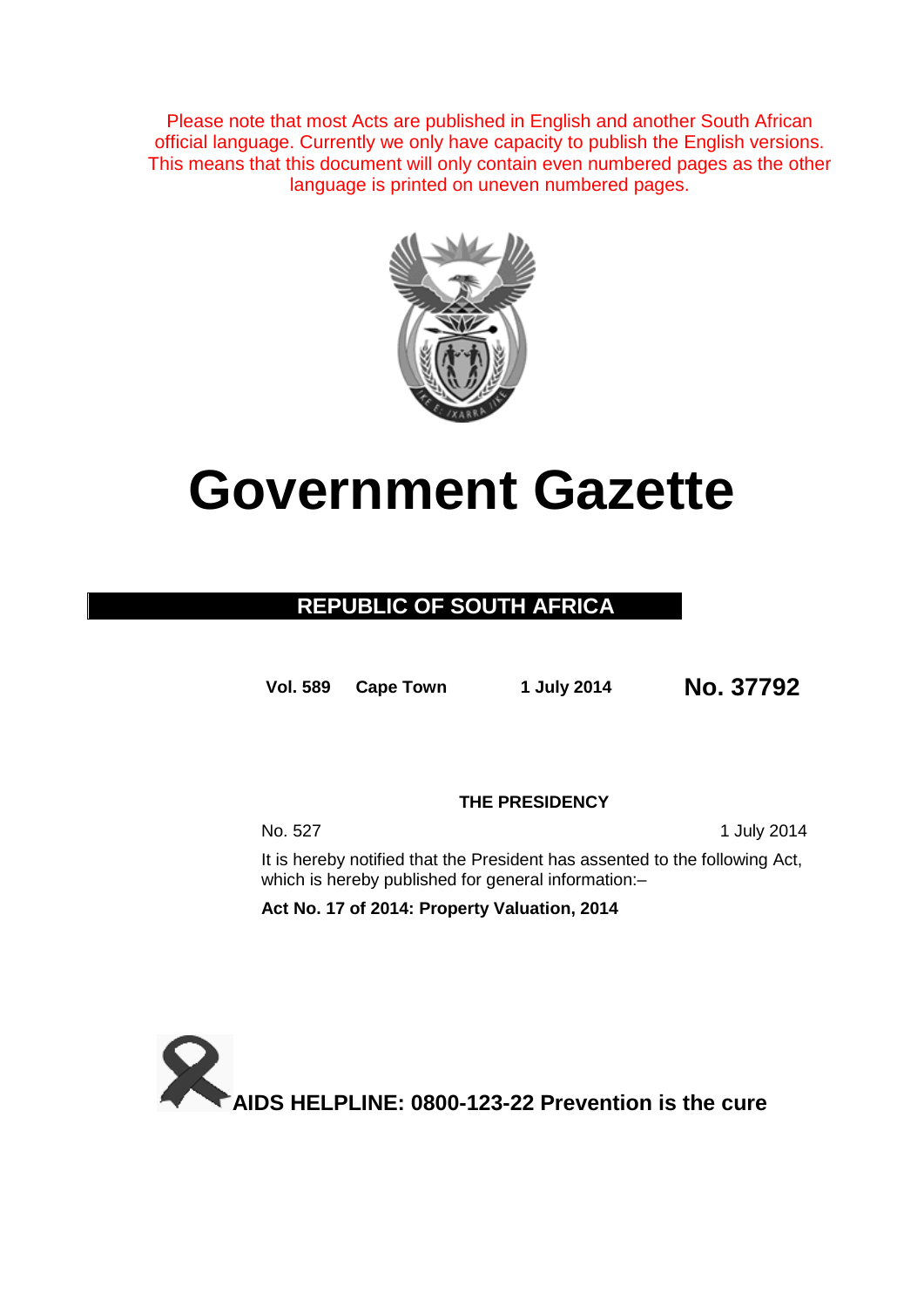Please note that most Acts are published in English and another South African official language. Currently we only have capacity to publish the English versions. This means that this document will only contain even numbered pages as the other language is printed on uneven numbered pages.



# **Government Gazette**

# **REPUBLIC OF SOUTH AFRICA**

**Vol. 589 Cape Town 1 July <sup>2014</sup> No. 37792**

**THE PRESIDENCY**

No. 527 1 July 2014

It is hereby notified that the President has assented to the following Act, which is hereby published for general information:-

**Act No. 17 of 2014: Property Valuation, 2014**

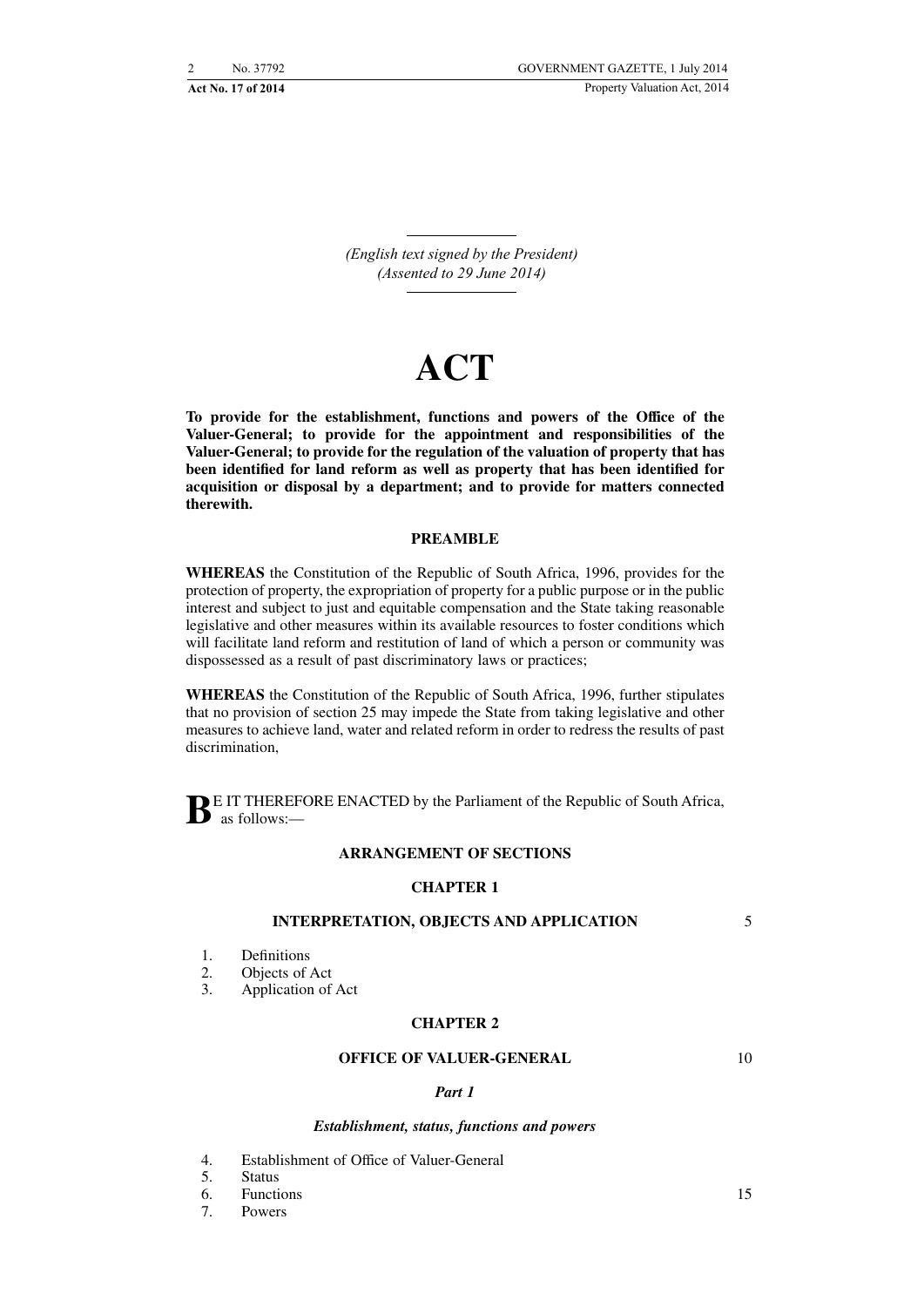*(English text signed by the President) (Assented to 29 June 2014)*

# **ACT**

**To provide for the establishment, functions and powers of the Office of the Valuer-General; to provide for the appointment and responsibilities of the Valuer-General; to provide for the regulation of the valuation of property that has been identified for land reform as well as property that has been identified for acquisition or disposal by a department; and to provide for matters connected therewith.**

# **PREAMBLE**

**WHEREAS** the Constitution of the Republic of South Africa, 1996, provides for the protection of property, the expropriation of property for a public purpose or in the public interest and subject to just and equitable compensation and the State taking reasonable legislative and other measures within its available resources to foster conditions which will facilitate land reform and restitution of land of which a person or community was dispossessed as a result of past discriminatory laws or practices;

**WHEREAS** the Constitution of the Republic of South Africa, 1996, further stipulates that no provision of section 25 may impede the State from taking legislative and other measures to achieve land, water and related reform in order to redress the results of past discrimination.

**BE** IT THEREFORE ENACTED by the Parliament of the Republic of South Africa, as follows:—

# **ARRANGEMENT OF SECTIONS**

# **CHAPTER 1**

#### **INTERPRETATION, OBJECTS AND APPLICATION**

- 1. Definitions
- 2. Objects of Act
- 3. Application of Act

#### **CHAPTER 2**

#### **OFFICE OF VALUER-GENERAL**

10

5

#### *Part 1*

#### *Establishment, status, functions and powers*

4. Establishment of Office of Valuer-General

5. Status

6. Functions

7. Powers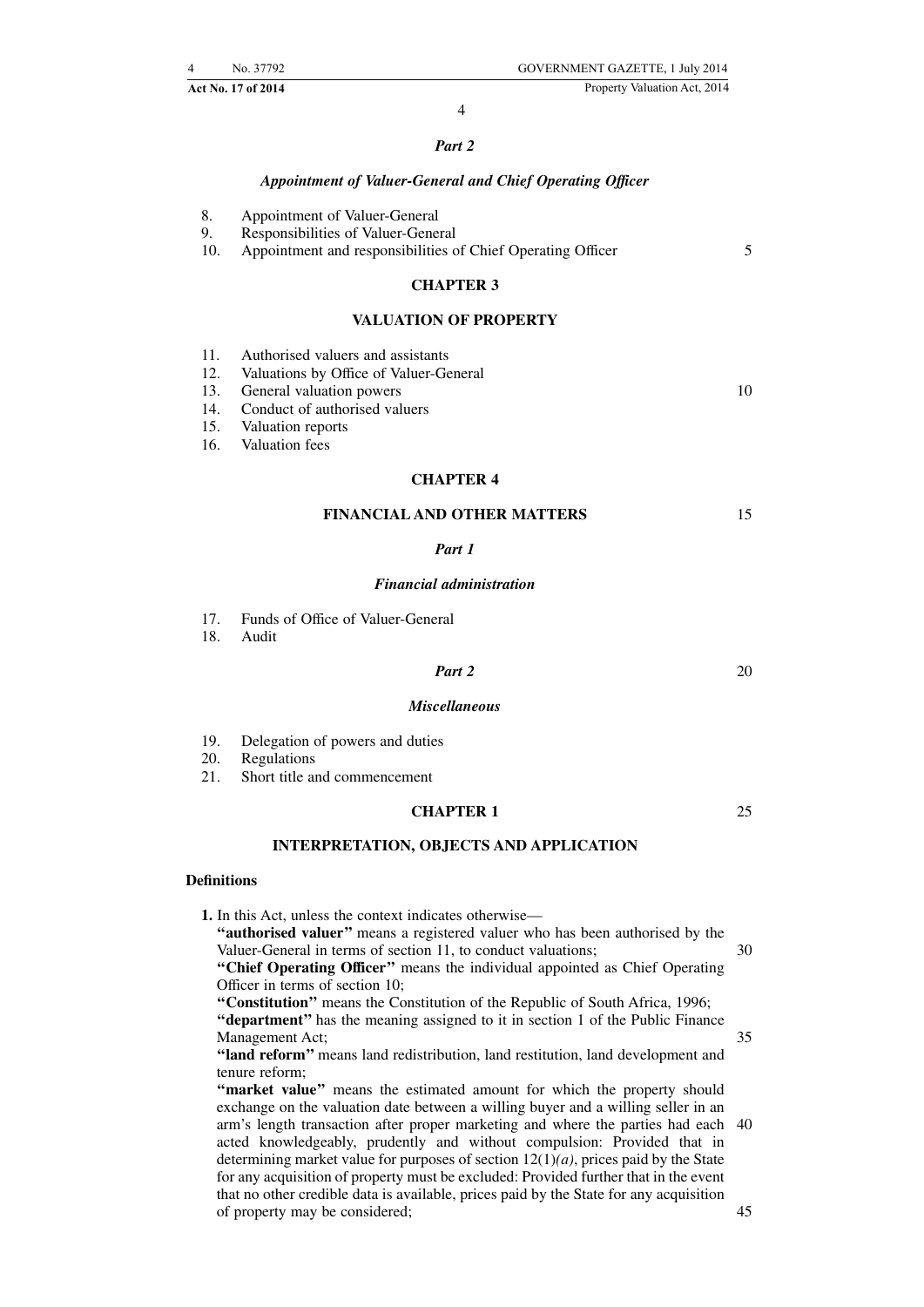**Act No. 17 of 2014** Property Valuation Act, 2014

# 4

# *Part 2*

# *Appointment of Valuer-General and Chief Operating Officer*

- 8. Appointment of Valuer-General
- 9. Responsibilities of Valuer-General

10. Appointment and responsibilities of Chief Operating Officer

# **CHAPTER 3**

### **VALUATION OF PROPERTY**

| 11. | Authorised valuers and assistants |  |  |  |  |
|-----|-----------------------------------|--|--|--|--|
|-----|-----------------------------------|--|--|--|--|

- 12. Valuations by Office of Valuer-General
- 13. General valuation powers
- 14. Conduct of authorised valuers
- 15. Valuation reports
- 16. Valuation fees

#### **CHAPTER 4**

| <b>FINANCIAL AND OTHER MATTERS</b> |  |
|------------------------------------|--|
|------------------------------------|--|

# *Part 1*

#### *Financial administration*

- 17. Funds of Office of Valuer-General<br>18. Audit
- Audit

# *Part 2*

20

5

10

# *Miscellaneous*

- 19. Delegation of powers and duties
- 20. Regulations
- 21. Short title and commencement

# **CHAPTER 1**

**INTERPRETATION, OBJECTS AND APPLICATION**

# **Definitions**

**1.** In this Act, unless the context indicates otherwise— **''authorised valuer''** means a registered valuer who has been authorised by the

30

35

25

- Valuer-General in terms of section 11, to conduct valuations; **''Chief Operating Officer''** means the individual appointed as Chief Operating Officer in terms of section 10;
- **''Constitution''** means the Constitution of the Republic of South Africa, 1996; **''department''** has the meaning assigned to it in section 1 of the Public Finance Management Act;

**''land reform''** means land redistribution, land restitution, land development and tenure reform;

**''market value''** means the estimated amount for which the property should exchange on the valuation date between a willing buyer and a willing seller in an arm's length transaction after proper marketing and where the parties had each 40 acted knowledgeably, prudently and without compulsion: Provided that in determining market value for purposes of section 12(1)*(a)*, prices paid by the State for any acquisition of property must be excluded: Provided further that in the event that no other credible data is available, prices paid by the State for any acquisition of property may be considered; 45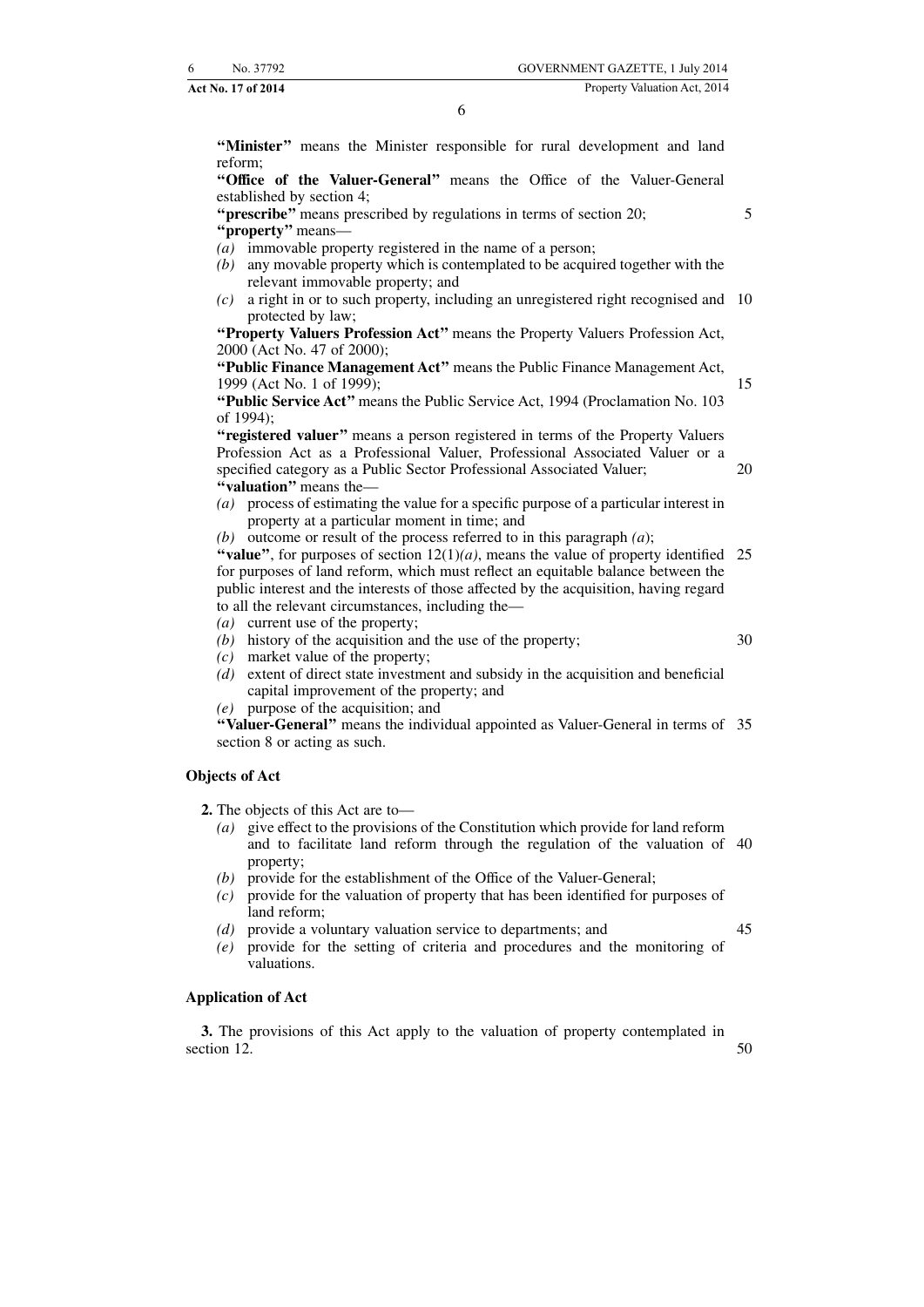"Minister" means the Minister responsible for rural development and land reform;

**''Office of the Valuer-General''** means the Office of the Valuer-General established by section 4;

**''prescribe''** means prescribed by regulations in terms of section 20; **''property''** means—

- *(a)* immovable property registered in the name of a person;
- *(b)* any movable property which is contemplated to be acquired together with the relevant immovable property; and
- *(c)* a right in or to such property, including an unregistered right recognised and 10 protected by law;

**''Property Valuers Profession Act''** means the Property Valuers Profession Act, 2000 (Act No. 47 of 2000);

**''Public Finance Management Act''** means the Public Finance Management Act, 1999 (Act No. 1 of 1999);

**''Public Service Act''** means the Public Service Act, 1994 (Proclamation No. 103 of 1994);

**''registered valuer''** means a person registered in terms of the Property Valuers Profession Act as a Professional Valuer, Professional Associated Valuer or a specified category as a Public Sector Professional Associated Valuer; **''valuation''** means the— 20

*(a)* process of estimating the value for a specific purpose of a particular interest in property at a particular moment in time; and

*(b)* outcome or result of the process referred to in this paragraph *(a*);

"value", for purposes of section  $12(1)(a)$ , means the value of property identified 25 for purposes of land reform, which must reflect an equitable balance between the public interest and the interests of those affected by the acquisition, having regard to all the relevant circumstances, including the—

- *(a)* current use of the property;
- *(b)* history of the acquisition and the use of the property;
- *(c)* market value of the property;
- *(d)* extent of direct state investment and subsidy in the acquisition and beneficial capital improvement of the property; and

*(e)* purpose of the acquisition; and

**''Valuer-General''** means the individual appointed as Valuer-General in terms of 35 section 8 or acting as such.

# **Objects of Act**

**2.** The objects of this Act are to—

- *(a)* give effect to the provisions of the Constitution which provide for land reform and to facilitate land reform through the regulation of the valuation of 40 property;
- *(b)* provide for the establishment of the Office of the Valuer-General;
- *(c)* provide for the valuation of property that has been identified for purposes of land reform;
- *(d)* provide a voluntary valuation service to departments; and
- *(e)* provide for the setting of criteria and procedures and the monitoring of valuations.

#### **Application of Act**

**3.** The provisions of this Act apply to the valuation of property contemplated in section 12. 50

45

30

5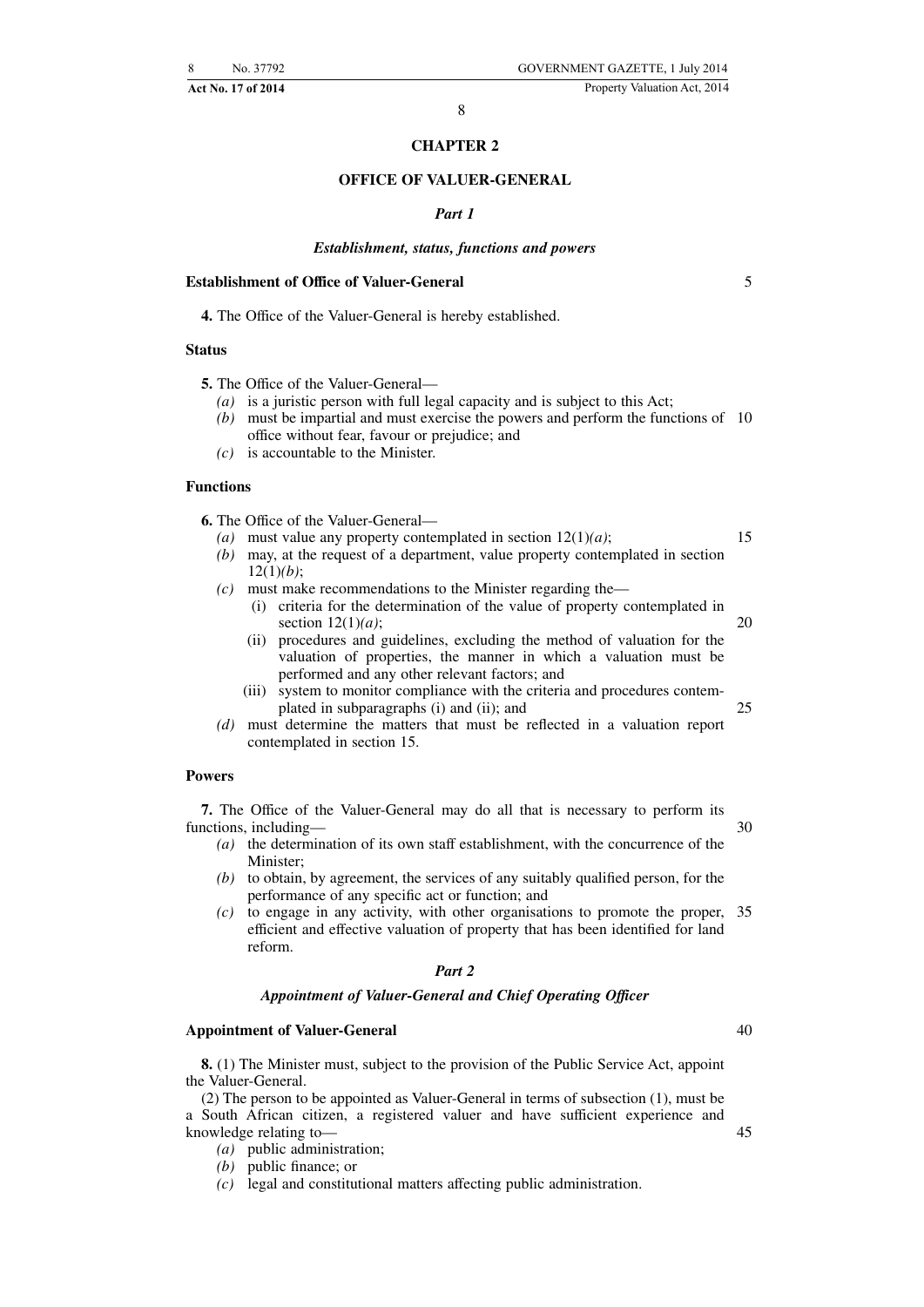# **CHAPTER 2**

# **OFFICE OF VALUER-GENERAL**

#### *Part 1*

#### *Establishment, status, functions and powers*

#### **Establishment of Office of Valuer-General**

**4.** The Office of the Valuer-General is hereby established.

# **Status**

**5.** The Office of the Valuer-General—

- *(a)* is a juristic person with full legal capacity and is subject to this Act;
- *(b)* must be impartial and must exercise the powers and perform the functions of 10 office without fear, favour or prejudice; and
- *(c)* is accountable to the Minister.

#### **Functions**

**6.** The Office of the Valuer-General—

- *(a)* must value any property contemplated in section 12(1)*(a)*;
- *(b)* may, at the request of a department, value property contemplated in section 12(1)*(b)*;
- *(c)* must make recommendations to the Minister regarding the—
	- (i) criteria for the determination of the value of property contemplated in section 12(1)*(a)*; 20
	- (ii) procedures and guidelines, excluding the method of valuation for the valuation of properties, the manner in which a valuation must be performed and any other relevant factors; and
	- (iii) system to monitor compliance with the criteria and procedures contemplated in subparagraphs (i) and (ii); and 25
- *(d)* must determine the matters that must be reflected in a valuation report contemplated in section 15.

# **Powers**

**7.** The Office of the Valuer-General may do all that is necessary to perform its functions, including—

- *(a)* the determination of its own staff establishment, with the concurrence of the Minister<sup>.</sup>
- *(b)* to obtain, by agreement, the services of any suitably qualified person, for the performance of any specific act or function; and
- *(c)* to engage in any activity, with other organisations to promote the proper, 35 efficient and effective valuation of property that has been identified for land reform.

#### *Part 2*

#### *Appointment of Valuer-General and Chief Operating Officer*

#### **Appointment of Valuer-General**

**8.** (1) The Minister must, subject to the provision of the Public Service Act, appoint the Valuer-General.

(2) The person to be appointed as Valuer-General in terms of subsection (1), must be a South African citizen, a registered valuer and have sufficient experience and knowledge relating to—

*(a)* public administration;

*(b)* public finance; or

*(c)* legal and constitutional matters affecting public administration.

5

15

30

40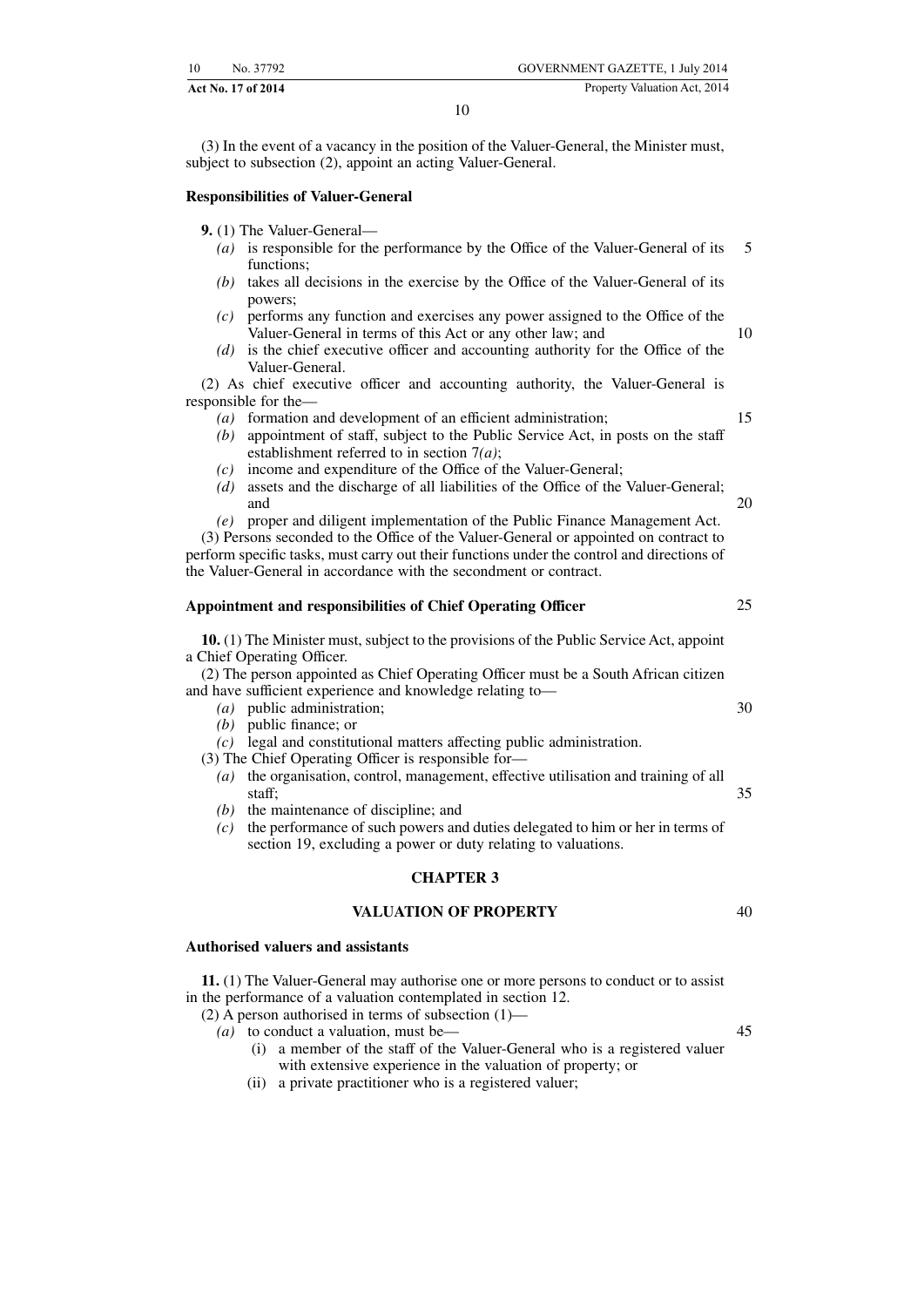(3) In the event of a vacancy in the position of the Valuer-General, the Minister must, subject to subsection (2), appoint an acting Valuer-General.

10

#### **Responsibilities of Valuer-General**

**9.** (1) The Valuer-General—

- *(a)* is responsible for the performance by the Office of the Valuer-General of its functions; 5
- *(b)* takes all decisions in the exercise by the Office of the Valuer-General of its powers;
- *(c)* performs any function and exercises any power assigned to the Office of the Valuer-General in terms of this Act or any other law; and
- *(d)* is the chief executive officer and accounting authority for the Office of the Valuer-General.

(2) As chief executive officer and accounting authority, the Valuer-General is responsible for the—

- *(a)* formation and development of an efficient administration;
- *(b)* appointment of staff, subject to the Public Service Act, in posts on the staff establishment referred to in section 7*(a)*;
- *(c)* income and expenditure of the Office of the Valuer-General;
- *(d)* assets and the discharge of all liabilities of the Office of the Valuer-General; and
- *(e)* proper and diligent implementation of the Public Finance Management Act.

(3) Persons seconded to the Office of the Valuer-General or appointed on contract to perform specific tasks, must carry out their functions under the control and directions of the Valuer-General in accordance with the secondment or contract.

#### **Appointment and responsibilities of Chief Operating Officer**

**10.** (1) The Minister must, subject to the provisions of the Public Service Act, appoint a Chief Operating Officer.

(2) The person appointed as Chief Operating Officer must be a South African citizen and have sufficient experience and knowledge relating to—

- *(a)* public administration;
- *(b)* public finance; or
- *(c)* legal and constitutional matters affecting public administration.

(3) The Chief Operating Officer is responsible for—

- *(a)* the organisation, control, management, effective utilisation and training of all staff;
- *(b)* the maintenance of discipline; and
- *(c)* the performance of such powers and duties delegated to him or her in terms of section 19, excluding a power or duty relating to valuations.

#### **CHAPTER 3**

# **VALUATION OF PROPERTY**

# **Authorised valuers and assistants**

**11.** (1) The Valuer-General may authorise one or more persons to conduct or to assist in the performance of a valuation contemplated in section 12.

(2) A person authorised in terms of subsection (1)—

- *(a)* to conduct a valuation, must be—
	- (i) a member of the staff of the Valuer-General who is a registered valuer with extensive experience in the valuation of property; or
	- (ii) a private practitioner who is a registered valuer;

20

25

10

15

30

35

45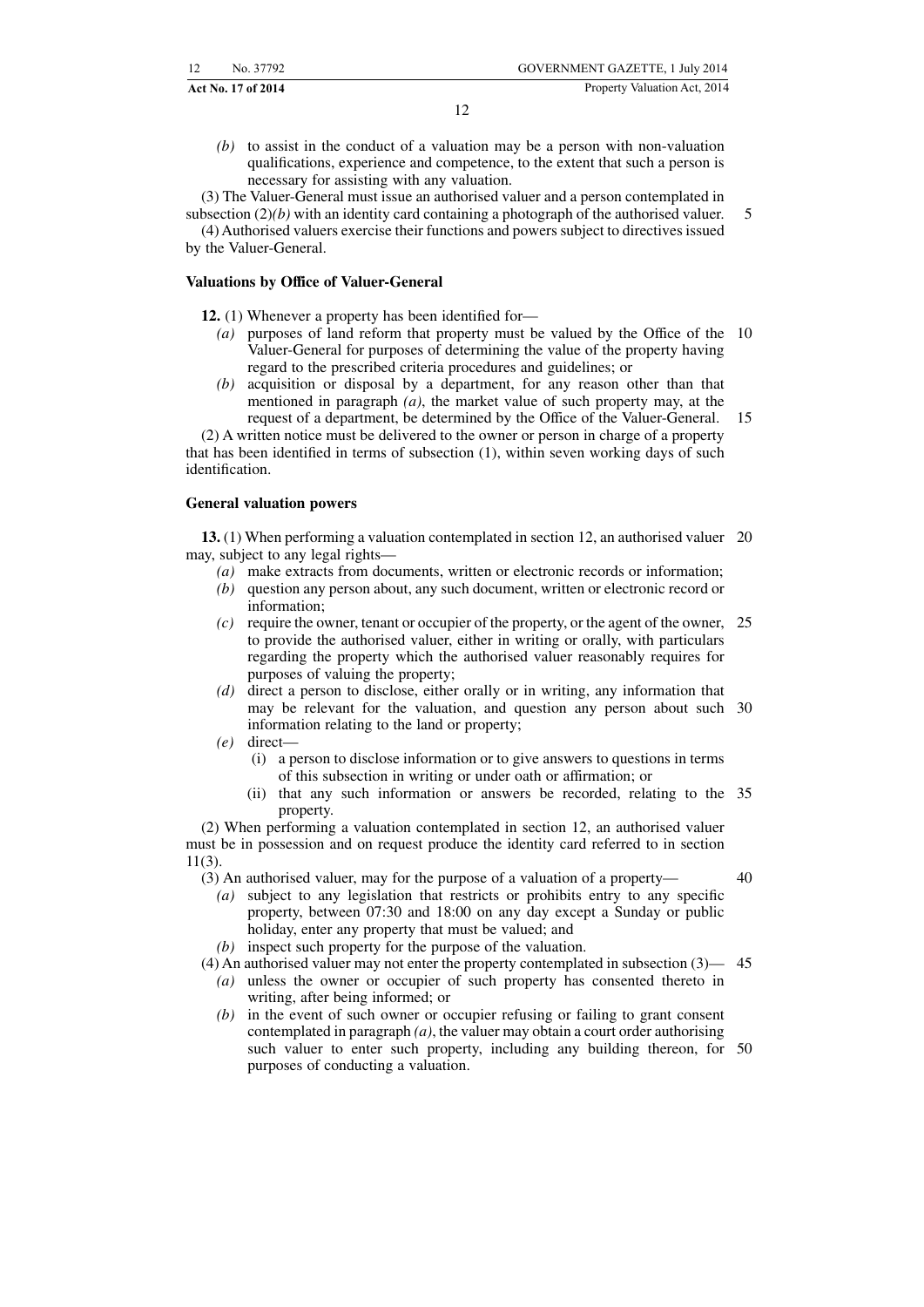**Act No. 17 of 2014** Property Valuation Act, 2014

*(b)* to assist in the conduct of a valuation may be a person with non-valuation qualifications, experience and competence, to the extent that such a person is necessary for assisting with any valuation.

(3) The Valuer-General must issue an authorised valuer and a person contemplated in

subsection (2)*(b)* with an identity card containing a photograph of the authorised valuer. (4) Authorised valuers exercise their functions and powers subject to directives issued by the Valuer-General.

# **Valuations by Office of Valuer-General**

**12.** (1) Whenever a property has been identified for—

- *(a)* purposes of land reform that property must be valued by the Office of the 10 Valuer-General for purposes of determining the value of the property having regard to the prescribed criteria procedures and guidelines; or
- *(b)* acquisition or disposal by a department, for any reason other than that mentioned in paragraph *(a)*, the market value of such property may, at the request of a department, be determined by the Office of the Valuer-General. 15

(2) A written notice must be delivered to the owner or person in charge of a property that has been identified in terms of subsection (1), within seven working days of such identification.

#### **General valuation powers**

**13.** (1) When performing a valuation contemplated in section 12, an authorised valuer 20 may, subject to any legal rights—

- *(a)* make extracts from documents, written or electronic records or information;
- *(b)* question any person about, any such document, written or electronic record or information;
- *(c)* require the owner, tenant or occupier of the property, or the agent of the owner, 25 to provide the authorised valuer, either in writing or orally, with particulars regarding the property which the authorised valuer reasonably requires for purposes of valuing the property;
- *(d)* direct a person to disclose, either orally or in writing, any information that may be relevant for the valuation, and question any person about such 30 information relating to the land or property;
- *(e)* direct—
	- (i) a person to disclose information or to give answers to questions in terms of this subsection in writing or under oath or affirmation; or
	- (ii) that any such information or answers be recorded, relating to the 35 property.

(2) When performing a valuation contemplated in section 12, an authorised valuer must be in possession and on request produce the identity card referred to in section 11(3).

(3) An authorised valuer, may for the purpose of a valuation of a property—

40

5

*(a)* subject to any legislation that restricts or prohibits entry to any specific property, between 07:30 and 18:00 on any day except a Sunday or public holiday, enter any property that must be valued; and

*(b)* inspect such property for the purpose of the valuation. (4) An authorised valuer may not enter the property contemplated in subsection (3)— 45

- *(a)* unless the owner or occupier of such property has consented thereto in writing, after being informed; or
- *(b)* in the event of such owner or occupier refusing or failing to grant consent contemplated in paragraph *(a)*, the valuer may obtain a court order authorising such valuer to enter such property, including any building thereon, for 50purposes of conducting a valuation.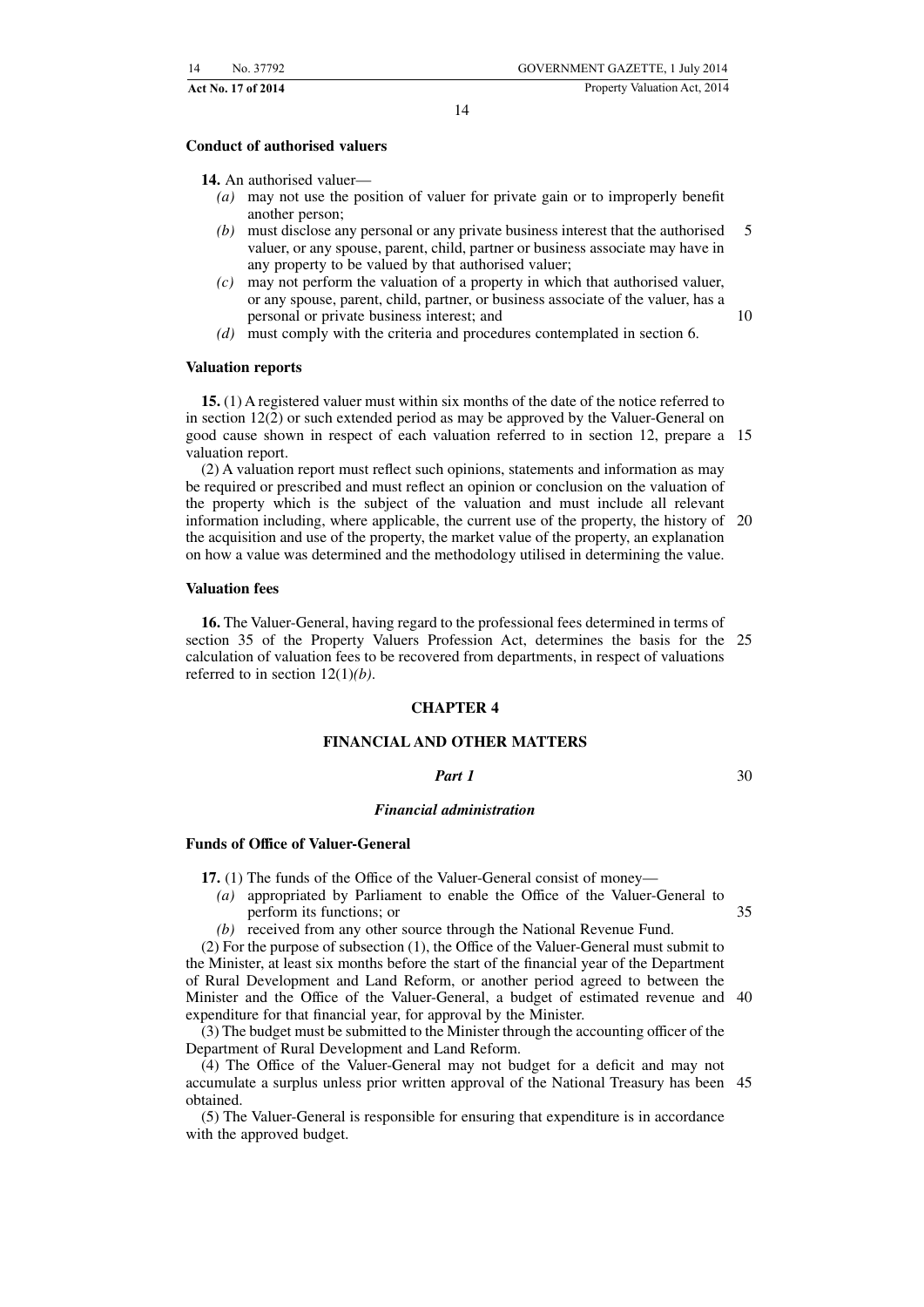#### **Conduct of authorised valuers**

**14.** An authorised valuer—

- *(a)* may not use the position of valuer for private gain or to improperly benefit another person;
- *(b)* must disclose any personal or any private business interest that the authorised valuer, or any spouse, parent, child, partner or business associate may have in any property to be valued by that authorised valuer; 5
- *(c)* may not perform the valuation of a property in which that authorised valuer, or any spouse, parent, child, partner, or business associate of the valuer, has a personal or private business interest; and
- *(d)* must comply with the criteria and procedures contemplated in section 6.

#### **Valuation reports**

**15.** (1) A registered valuer must within six months of the date of the notice referred to in section 12(2) or such extended period as may be approved by the Valuer-General on good cause shown in respect of each valuation referred to in section 12, prepare a 15 valuation report.

(2) A valuation report must reflect such opinions, statements and information as may be required or prescribed and must reflect an opinion or conclusion on the valuation of the property which is the subject of the valuation and must include all relevant information including, where applicable, the current use of the property, the history of 20 the acquisition and use of the property, the market value of the property, an explanation on how a value was determined and the methodology utilised in determining the value.

#### **Valuation fees**

**16.** The Valuer-General, having regard to the professional fees determined in terms of section 35 of the Property Valuers Profession Act, determines the basis for the 25 calculation of valuation fees to be recovered from departments, in respect of valuations referred to in section 12(1)*(b)*.

#### **CHAPTER 4**

# **FINANCIAL AND OTHER MATTERS**

#### *Part 1*

30

10

#### *Financial administration*

#### **Funds of Office of Valuer-General**

**17.** (1) The funds of the Office of the Valuer-General consist of money—

*(a)* appropriated by Parliament to enable the Office of the Valuer-General to perform its functions; or 35

*(b)* received from any other source through the National Revenue Fund.

(2) For the purpose of subsection (1), the Office of the Valuer-General must submit to the Minister, at least six months before the start of the financial year of the Department of Rural Development and Land Reform, or another period agreed to between the Minister and the Office of the Valuer-General, a budget of estimated revenue and 40 expenditure for that financial year, for approval by the Minister.

(3) The budget must be submitted to the Minister through the accounting officer of the Department of Rural Development and Land Reform.

(4) The Office of the Valuer-General may not budget for a deficit and may not accumulate a surplus unless prior written approval of the National Treasury has been 45obtained.

(5) The Valuer-General is responsible for ensuring that expenditure is in accordance with the approved budget.